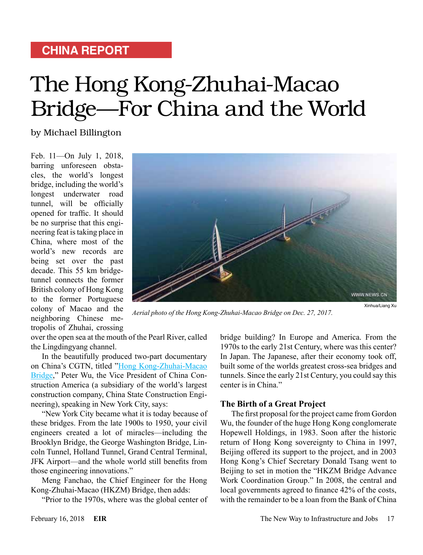### **CHINA REPORT**

# The Hong Kong-Zhuhai-Macao Bridge—For China and the World

by Michael Billington

Feb. 11—On July 1, 2018, barring unforeseen obstacles, the world's longest bridge, including the world's longest underwater road tunnel, will be officially opened for traffic. It should be no surprise that this engineering feat is taking place in China, where most of the world's new records are being set over the past decade. This 55 km bridgetunnel connects the former British colony of Hong Kong to the former Portuguese colony of Macao and the neighboring Chinese metropolis of Zhuhai, crossing



*Aerial photo of the Hong Kong-Zhuhai-Macao Bridge on Dec. 27, 2017.*

over the open sea at the mouth of the Pearl River, called the Lingdingyang channel.

In the beautifully produced two-part documentary on China's CGTN, titled ["Hong Kong-Zhuhai-Macao](https://www.youtube.com/watch?v=_kQ_CrKoU7k) [Bridge,](https://www.youtube.com/watch?v=_kQ_CrKoU7k)" Peter Wu, the Vice President of China Construction America (a subsidiary of the world's largest construction company, China State Construction Engineering), speaking in New York City, says:

"New York City became what it is today because of these bridges. From the late 1900s to 1950, your civil engineers created a lot of miracles—including the Brooklyn Bridge, the George Washington Bridge, Lincoln Tunnel, Holland Tunnel, Grand Central Terminal, JFK Airport—and the whole world still benefits from those engineering innovations."

Meng Fanchao, the Chief Engineer for the Hong Kong-Zhuhai-Macao (HKZM) Bridge, then adds:

"Prior to the 1970s, where was the global center of

bridge building? In Europe and America. From the 1970s to the early 21st Century, where was this center? In Japan. The Japanese, after their economy took off, built some of the worlds greatest cross-sea bridges and tunnels. Since the early 21st Century, you could say this center is in China."

#### **The Birth of a Great Project**

The first proposal for the project came from Gordon Wu, the founder of the huge Hong Kong conglomerate Hopewell Holdings, in 1983. Soon after the historic return of Hong Kong sovereignty to China in 1997, Beijing offered its support to the project, and in 2003 Hong Kong's Chief Secretary Donald Tsang went to Beijing to set in motion the "HKZM Bridge Advance Work Coordination Group." In 2008, the central and local governments agreed to finance 42% of the costs, with the remainder to be a loan from the Bank of China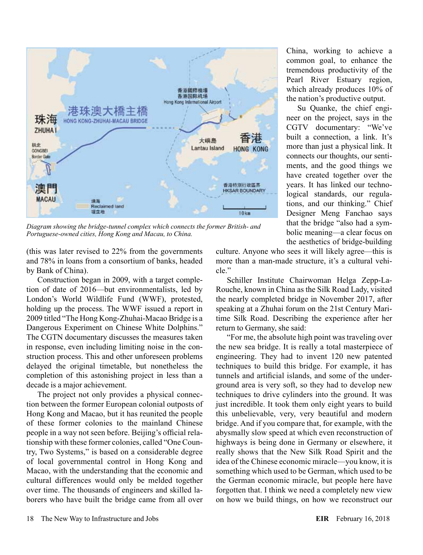

*Diagram showing the bridge-tunnel complex which connects the former British- and Portuguese-owned cities, Hong Kong and Macau, to China.*

(this was later revised to 22% from the governments and 78% in loans from a consortium of banks, headed by Bank of China).

Construction began in 2009, with a target completion of date of 2016—but environmentalists, led by London's World Wildlife Fund (WWF), protested, holding up the process. The WWF issued a report in 2009 titled "The Hong Kong-Zhuhai-Macao Bridge is a Dangerous Experiment on Chinese White Dolphins." The CGTN documentary discusses the measures taken in response, even including limiting noise in the construction process. This and other unforeseen problems delayed the original timetable, but nonetheless the completion of this astonishing project in less than a decade is a major achievement.

The project not only provides a physical connection between the former European colonial outposts of Hong Kong and Macao, but it has reunited the people of these former colonies to the mainland Chinese people in a way not seen before. Beijing's official relationship with these former colonies, called "One Country, Two Systems," is based on a considerable degree of local governmental control in Hong Kong and Macao, with the understanding that the economic and cultural differences would only be melded together over time. The thousands of engineers and skilled laborers who have built the bridge came from all over

China, working to achieve a common goal, to enhance the tremendous productivity of the Pearl River Estuary region, which already produces 10% of the nation's productive output.

Su Quanke, the chief engineer on the project, says in the CGTV documentary: "We've built a connection, a link. It's more than just a physical link. It connects our thoughts, our sentiments, and the good things we have created together over the years. It has linked our technological standards, our regulations, and our thinking." Chief Designer Meng Fanchao says that the bridge "also had a symbolic meaning—a clear focus on the aesthetics of bridge-building

culture. Anyone who sees it will likely agree—this is more than a man-made structure, it's a cultural vehicle"

Schiller Institute Chairwoman Helga Zepp-La-Rouche, known in China as the Silk Road Lady, visited the nearly completed bridge in November 2017, after speaking at a Zhuhai forum on the 21st Century Maritime Silk Road. Describing the experience after her return to Germany, she said:

"For me, the absolute high point was traveling over the new sea bridge. It is really a total masterpiece of engineering. They had to invent 120 new patented techniques to build this bridge. For example, it has tunnels and artificial islands, and some of the underground area is very soft, so they had to develop new techniques to drive cylinders into the ground. It was just incredible. It took them only eight years to build this unbelievable, very, very beautiful and modern bridge. And if you compare that, for example, with the abysmally slow speed at which even reconstruction of highways is being done in Germany or elsewhere, it really shows that the New Silk Road Spirit and the idea of the Chinese economic miracle—you know, it is something which used to be German, which used to be the German economic miracle, but people here have forgotten that. I think we need a completely new view on how we build things, on how we reconstruct our